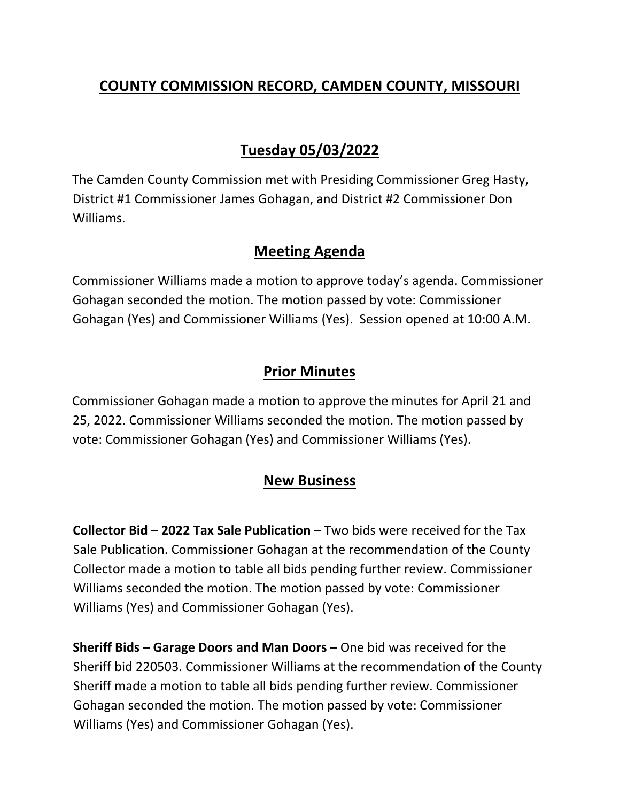## **COUNTY COMMISSION RECORD, CAMDEN COUNTY, MISSOURI**

# **Tuesday 05/03/2022**

The Camden County Commission met with Presiding Commissioner Greg Hasty, District #1 Commissioner James Gohagan, and District #2 Commissioner Don Williams.

#### **Meeting Agenda**

Commissioner Williams made a motion to approve today's agenda. Commissioner Gohagan seconded the motion. The motion passed by vote: Commissioner Gohagan (Yes) and Commissioner Williams (Yes). Session opened at 10:00 A.M.

#### **Prior Minutes**

Commissioner Gohagan made a motion to approve the minutes for April 21 and 25, 2022. Commissioner Williams seconded the motion. The motion passed by vote: Commissioner Gohagan (Yes) and Commissioner Williams (Yes).

### **New Business**

**Collector Bid – 2022 Tax Sale Publication –** Two bids were received for the Tax Sale Publication. Commissioner Gohagan at the recommendation of the County Collector made a motion to table all bids pending further review. Commissioner Williams seconded the motion. The motion passed by vote: Commissioner Williams (Yes) and Commissioner Gohagan (Yes).

**Sheriff Bids – Garage Doors and Man Doors –** One bid was received for the Sheriff bid 220503. Commissioner Williams at the recommendation of the County Sheriff made a motion to table all bids pending further review. Commissioner Gohagan seconded the motion. The motion passed by vote: Commissioner Williams (Yes) and Commissioner Gohagan (Yes).